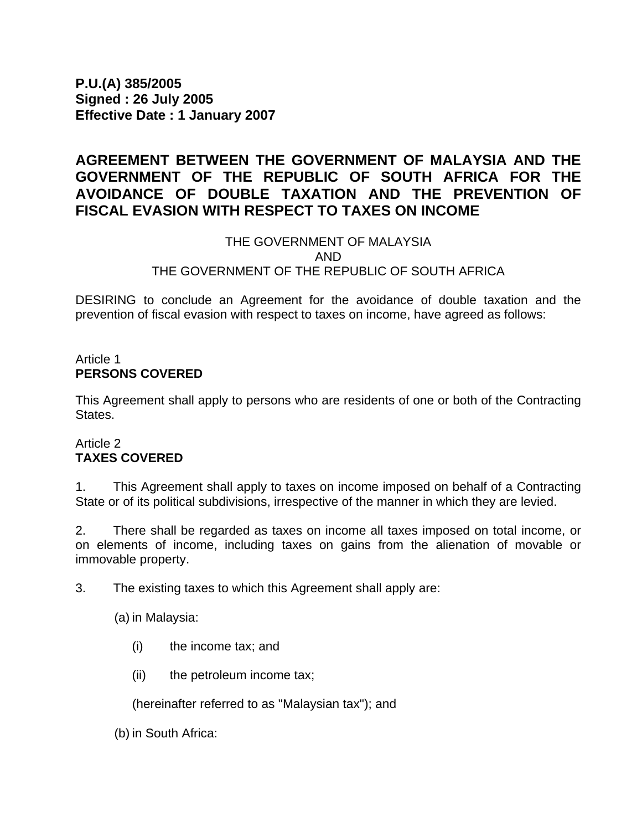# **AGREEMENT BETWEEN THE GOVERNMENT OF MALAYSIA AND THE GOVERNMENT OF THE REPUBLIC OF SOUTH AFRICA FOR THE AVOIDANCE OF DOUBLE TAXATION AND THE PREVENTION OF FISCAL EVASION WITH RESPECT TO TAXES ON INCOME**

## THE GOVERNMENT OF MALAYSIA AND THE GOVERNMENT OF THE REPUBLIC OF SOUTH AFRICA

DESIRING to conclude an Agreement for the avoidance of double taxation and the prevention of fiscal evasion with respect to taxes on income, have agreed as follows:

### Article 1 **PERSONS COVERED**

This Agreement shall apply to persons who are residents of one or both of the Contracting States.

# Article 2 **TAXES COVERED**

1. This Agreement shall apply to taxes on income imposed on behalf of a Contracting State or of its political subdivisions, irrespective of the manner in which they are levied.

2. There shall be regarded as taxes on income all taxes imposed on total income, or on elements of income, including taxes on gains from the alienation of movable or immovable property.

3. The existing taxes to which this Agreement shall apply are:

(a) in Malaysia:

- (i) the income tax; and
- (ii) the petroleum income tax;

(hereinafter referred to as "Malaysian tax"); and

(b) in South Africa: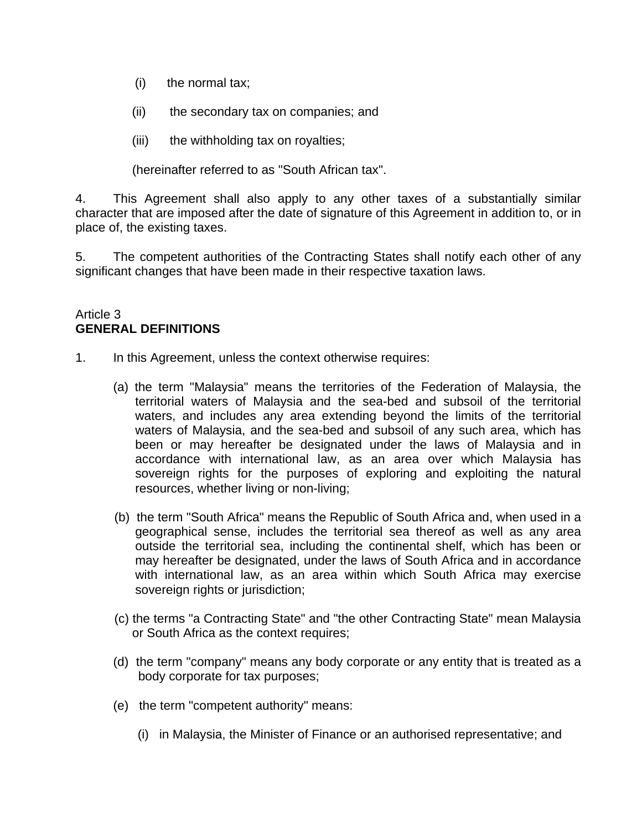- (i) the normal tax;
- (ii) the secondary tax on companies; and
- (iii) the withholding tax on royalties;

(hereinafter referred to as "South African tax".

4. This Agreement shall also apply to any other taxes of a substantially similar character that are imposed after the date of signature of this Agreement in addition to, or in place of, the existing taxes.

5. The competent authorities of the Contracting States shall notify each other of any significant changes that have been made in their respective taxation laws.

## Article 3 **GENERAL DEFINITIONS**

- 1. In this Agreement, unless the context otherwise requires:
	- (a) the term "Malaysia" means the territories of the Federation of Malaysia, the territorial waters of Malaysia and the sea-bed and subsoil of the territorial waters, and includes any area extending beyond the limits of the territorial waters of Malaysia, and the sea-bed and subsoil of any such area, which has been or may hereafter be designated under the laws of Malaysia and in accordance with international law, as an area over which Malaysia has sovereign rights for the purposes of exploring and exploiting the natural resources, whether living or non-living;
	- (b) the term "South Africa" means the Republic of South Africa and, when used in a geographical sense, includes the territorial sea thereof as well as any area outside the territorial sea, including the continental shelf, which has been or may hereafter be designated, under the laws of South Africa and in accordance with international law, as an area within which South Africa may exercise sovereign rights or jurisdiction;
	- (c) the terms "a Contracting State" and "the other Contracting State" mean Malaysia or South Africa as the context requires;
	- (d) the term "company" means any body corporate or any entity that is treated as a body corporate for tax purposes;
	- (e) the term "competent authority" means:
		- (i) in Malaysia, the Minister of Finance or an authorised representative; and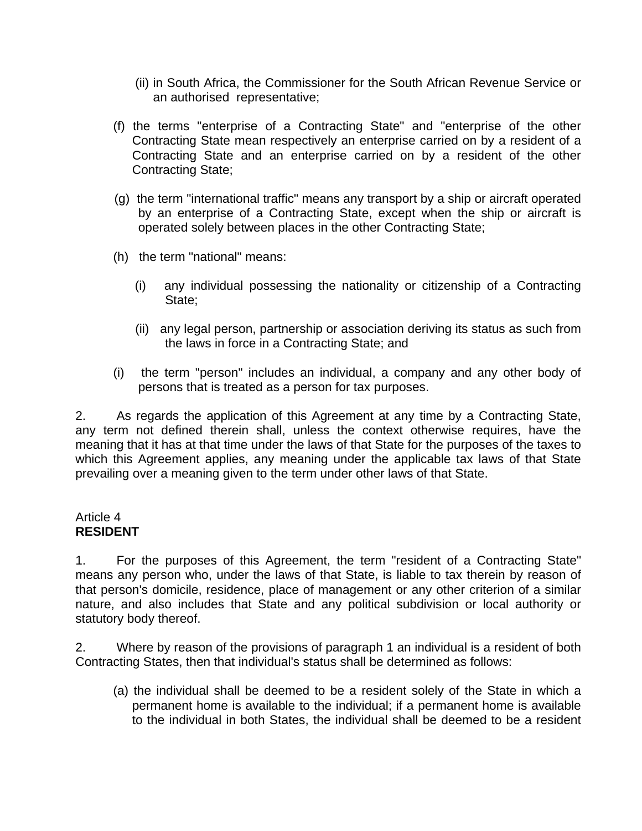- (ii) in South Africa, the Commissioner for the South African Revenue Service or an authorised representative;
- (f) the terms "enterprise of a Contracting State" and "enterprise of the other Contracting State mean respectively an enterprise carried on by a resident of a Contracting State and an enterprise carried on by a resident of the other Contracting State;
- (g) the term "international traffic" means any transport by a ship or aircraft operated by an enterprise of a Contracting State, except when the ship or aircraft is operated solely between places in the other Contracting State;
- (h) the term "national" means:
	- (i) any individual possessing the nationality or citizenship of a Contracting State;
	- (ii) any legal person, partnership or association deriving its status as such from the laws in force in a Contracting State; and
- (i) the term "person" includes an individual, a company and any other body of persons that is treated as a person for tax purposes.

2. As regards the application of this Agreement at any time by a Contracting State, any term not defined therein shall, unless the context otherwise requires, have the meaning that it has at that time under the laws of that State for the purposes of the taxes to which this Agreement applies, any meaning under the applicable tax laws of that State prevailing over a meaning given to the term under other laws of that State.

#### Article 4 **RESIDENT**

1. For the purposes of this Agreement, the term "resident of a Contracting State" means any person who, under the laws of that State, is liable to tax therein by reason of that person's domicile, residence, place of management or any other criterion of a similar nature, and also includes that State and any political subdivision or local authority or statutory body thereof.

2. Where by reason of the provisions of paragraph 1 an individual is a resident of both Contracting States, then that individual's status shall be determined as follows:

(a) the individual shall be deemed to be a resident solely of the State in which a permanent home is available to the individual; if a permanent home is available to the individual in both States, the individual shall be deemed to be a resident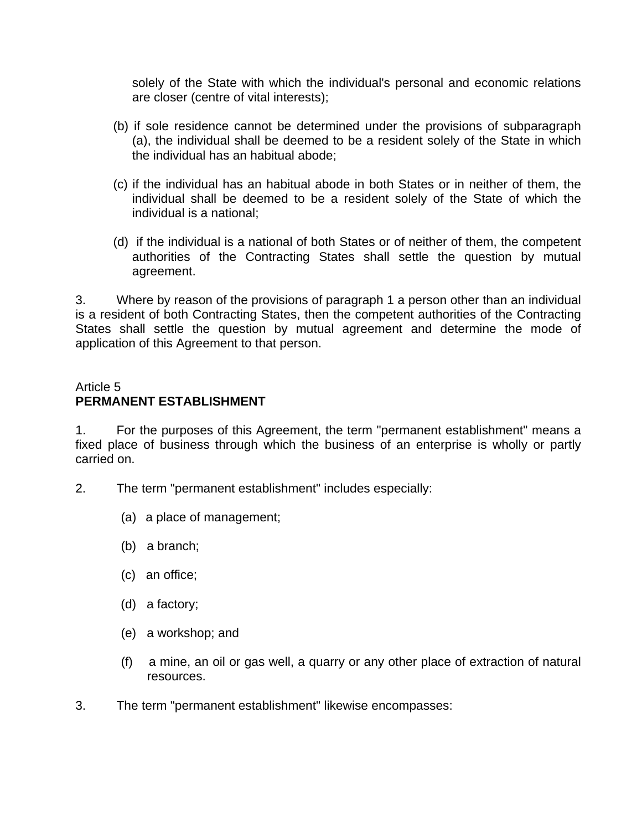solely of the State with which the individual's personal and economic relations are closer (centre of vital interests);

- (b) if sole residence cannot be determined under the provisions of subparagraph (a), the individual shall be deemed to be a resident solely of the State in which the individual has an habitual abode;
- (c) if the individual has an habitual abode in both States or in neither of them, the individual shall be deemed to be a resident solely of the State of which the individual is a national;
- (d) if the individual is a national of both States or of neither of them, the competent authorities of the Contracting States shall settle the question by mutual agreement.

3. Where by reason of the provisions of paragraph 1 a person other than an individual is a resident of both Contracting States, then the competent authorities of the Contracting States shall settle the question by mutual agreement and determine the mode of application of this Agreement to that person.

## Article 5 **PERMANENT ESTABLISHMENT**

1. For the purposes of this Agreement, the term "permanent establishment" means a fixed place of business through which the business of an enterprise is wholly or partly carried on.

- 2. The term "permanent establishment" includes especially:
	- (a) a place of management;
	- (b) a branch;
	- (c) an office;
	- (d) a factory;
	- (e) a workshop; and
	- (f) a mine, an oil or gas well, a quarry or any other place of extraction of natural resources.
- 3. The term "permanent establishment" likewise encompasses: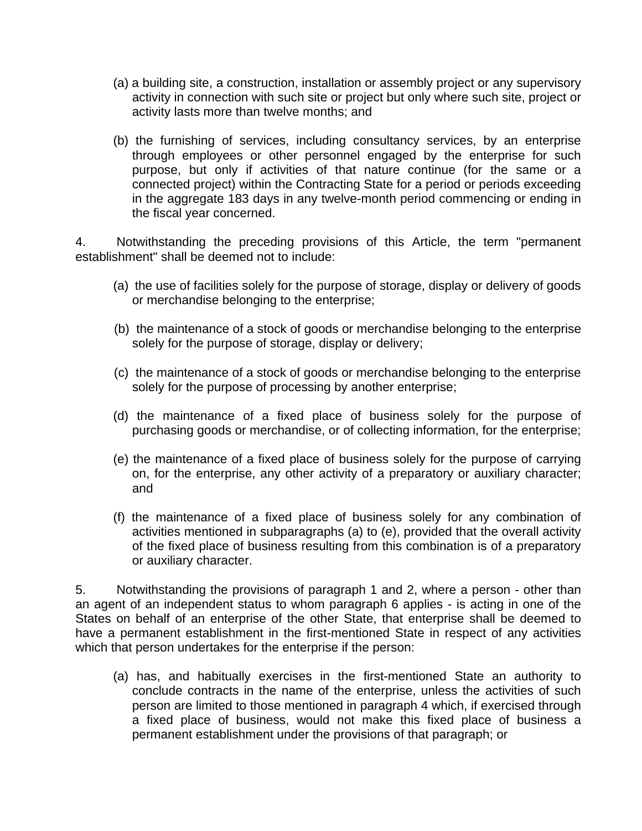- (a) a building site, a construction, installation or assembly project or any supervisory activity in connection with such site or project but only where such site, project or activity lasts more than twelve months; and
- (b) the furnishing of services, including consultancy services, by an enterprise through employees or other personnel engaged by the enterprise for such purpose, but only if activities of that nature continue (for the same or a connected project) within the Contracting State for a period or periods exceeding in the aggregate 183 days in any twelve-month period commencing or ending in the fiscal year concerned.

4. Notwithstanding the preceding provisions of this Article, the term "permanent establishment" shall be deemed not to include:

- (a) the use of facilities solely for the purpose of storage, display or delivery of goods or merchandise belonging to the enterprise;
- (b) the maintenance of a stock of goods or merchandise belonging to the enterprise solely for the purpose of storage, display or delivery;
- (c) the maintenance of a stock of goods or merchandise belonging to the enterprise solely for the purpose of processing by another enterprise;
- (d) the maintenance of a fixed place of business solely for the purpose of purchasing goods or merchandise, or of collecting information, for the enterprise;
- (e) the maintenance of a fixed place of business solely for the purpose of carrying on, for the enterprise, any other activity of a preparatory or auxiliary character; and
- (f) the maintenance of a fixed place of business solely for any combination of activities mentioned in subparagraphs (a) to (e), provided that the overall activity of the fixed place of business resulting from this combination is of a preparatory or auxiliary character.

5. Notwithstanding the provisions of paragraph 1 and 2, where a person - other than an agent of an independent status to whom paragraph 6 applies - is acting in one of the States on behalf of an enterprise of the other State, that enterprise shall be deemed to have a permanent establishment in the first-mentioned State in respect of any activities which that person undertakes for the enterprise if the person:

(a) has, and habitually exercises in the first-mentioned State an authority to conclude contracts in the name of the enterprise, unless the activities of such person are limited to those mentioned in paragraph 4 which, if exercised through a fixed place of business, would not make this fixed place of business a permanent establishment under the provisions of that paragraph; or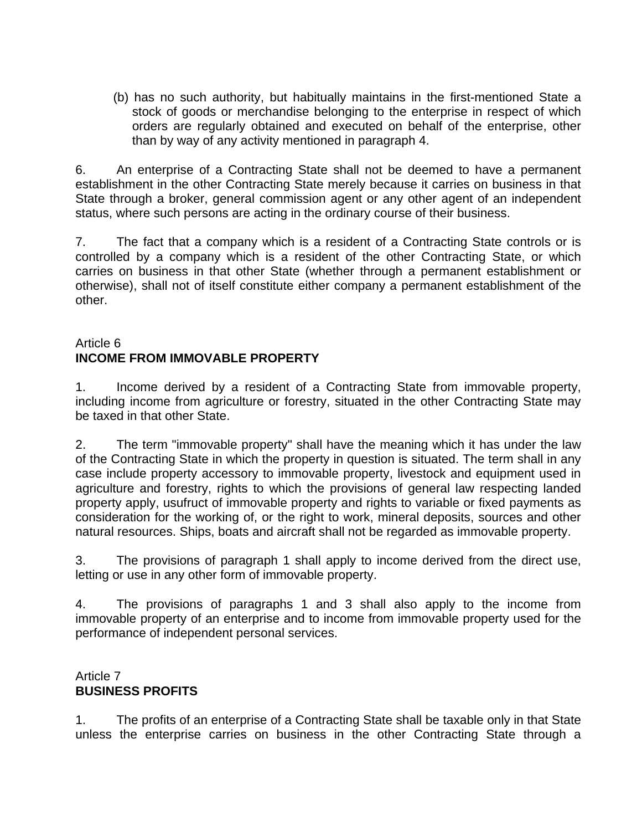(b) has no such authority, but habitually maintains in the first-mentioned State a stock of goods or merchandise belonging to the enterprise in respect of which orders are regularly obtained and executed on behalf of the enterprise, other than by way of any activity mentioned in paragraph 4.

6. An enterprise of a Contracting State shall not be deemed to have a permanent establishment in the other Contracting State merely because it carries on business in that State through a broker, general commission agent or any other agent of an independent status, where such persons are acting in the ordinary course of their business.

7. The fact that a company which is a resident of a Contracting State controls or is controlled by a company which is a resident of the other Contracting State, or which carries on business in that other State (whether through a permanent establishment or otherwise), shall not of itself constitute either company a permanent establishment of the other.

## Article 6 **INCOME FROM IMMOVABLE PROPERTY**

1. Income derived by a resident of a Contracting State from immovable property, including income from agriculture or forestry, situated in the other Contracting State may be taxed in that other State.

2. The term "immovable property" shall have the meaning which it has under the law of the Contracting State in which the property in question is situated. The term shall in any case include property accessory to immovable property, livestock and equipment used in agriculture and forestry, rights to which the provisions of general law respecting landed property apply, usufruct of immovable property and rights to variable or fixed payments as consideration for the working of, or the right to work, mineral deposits, sources and other natural resources. Ships, boats and aircraft shall not be regarded as immovable property.

3. The provisions of paragraph 1 shall apply to income derived from the direct use, letting or use in any other form of immovable property.

4. The provisions of paragraphs 1 and 3 shall also apply to the income from immovable property of an enterprise and to income from immovable property used for the performance of independent personal services.

# Article 7 **BUSINESS PROFITS**

1. The profits of an enterprise of a Contracting State shall be taxable only in that State unless the enterprise carries on business in the other Contracting State through a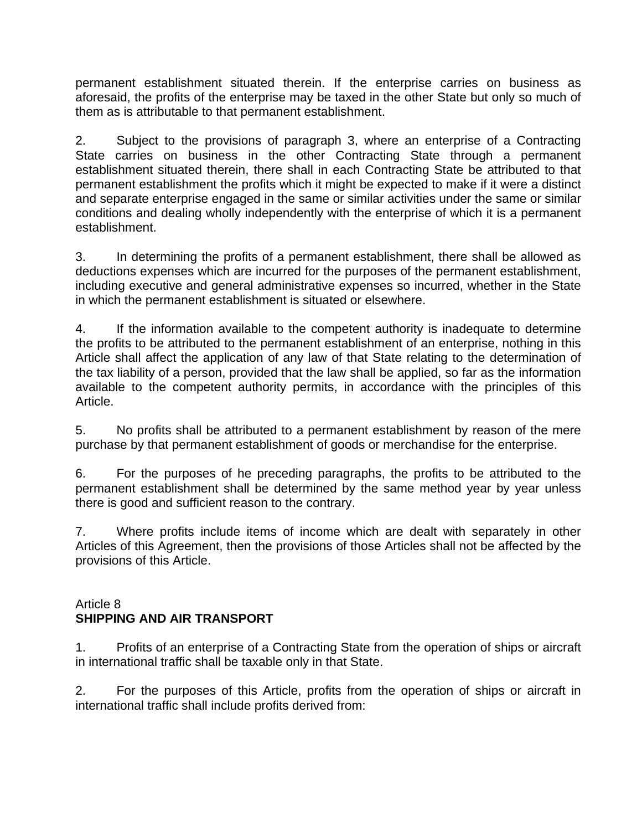permanent establishment situated therein. If the enterprise carries on business as aforesaid, the profits of the enterprise may be taxed in the other State but only so much of them as is attributable to that permanent establishment.

2. Subject to the provisions of paragraph 3, where an enterprise of a Contracting State carries on business in the other Contracting State through a permanent establishment situated therein, there shall in each Contracting State be attributed to that permanent establishment the profits which it might be expected to make if it were a distinct and separate enterprise engaged in the same or similar activities under the same or similar conditions and dealing wholly independently with the enterprise of which it is a permanent establishment.

3. In determining the profits of a permanent establishment, there shall be allowed as deductions expenses which are incurred for the purposes of the permanent establishment, including executive and general administrative expenses so incurred, whether in the State in which the permanent establishment is situated or elsewhere.

4. If the information available to the competent authority is inadequate to determine the profits to be attributed to the permanent establishment of an enterprise, nothing in this Article shall affect the application of any law of that State relating to the determination of the tax liability of a person, provided that the law shall be applied, so far as the information available to the competent authority permits, in accordance with the principles of this Article.

5. No profits shall be attributed to a permanent establishment by reason of the mere purchase by that permanent establishment of goods or merchandise for the enterprise.

6. For the purposes of he preceding paragraphs, the profits to be attributed to the permanent establishment shall be determined by the same method year by year unless there is good and sufficient reason to the contrary.

7. Where profits include items of income which are dealt with separately in other Articles of this Agreement, then the provisions of those Articles shall not be affected by the provisions of this Article.

## Article 8 **SHIPPING AND AIR TRANSPORT**

1. Profits of an enterprise of a Contracting State from the operation of ships or aircraft in international traffic shall be taxable only in that State.

2. For the purposes of this Article, profits from the operation of ships or aircraft in international traffic shall include profits derived from: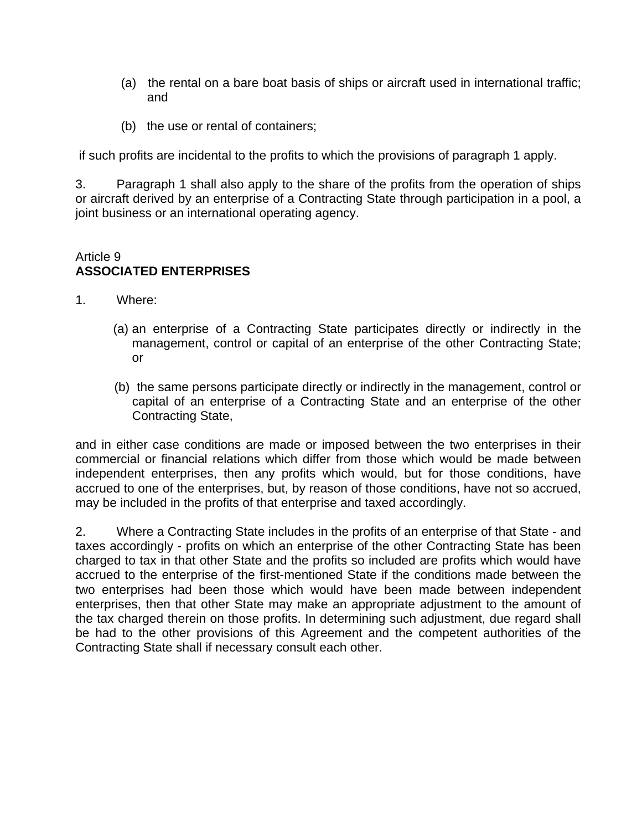- (a) the rental on a bare boat basis of ships or aircraft used in international traffic; and
- (b) the use or rental of containers;

if such profits are incidental to the profits to which the provisions of paragraph 1 apply.

3. Paragraph 1 shall also apply to the share of the profits from the operation of ships or aircraft derived by an enterprise of a Contracting State through participation in a pool, a joint business or an international operating agency.

#### Article 9 **ASSOCIATED ENTERPRISES**

- 1. Where:
	- (a) an enterprise of a Contracting State participates directly or indirectly in the management, control or capital of an enterprise of the other Contracting State; or
	- (b) the same persons participate directly or indirectly in the management, control or capital of an enterprise of a Contracting State and an enterprise of the other Contracting State,

and in either case conditions are made or imposed between the two enterprises in their commercial or financial relations which differ from those which would be made between independent enterprises, then any profits which would, but for those conditions, have accrued to one of the enterprises, but, by reason of those conditions, have not so accrued, may be included in the profits of that enterprise and taxed accordingly.

2. Where a Contracting State includes in the profits of an enterprise of that State - and taxes accordingly - profits on which an enterprise of the other Contracting State has been charged to tax in that other State and the profits so included are profits which would have accrued to the enterprise of the first-mentioned State if the conditions made between the two enterprises had been those which would have been made between independent enterprises, then that other State may make an appropriate adjustment to the amount of the tax charged therein on those profits. In determining such adjustment, due regard shall be had to the other provisions of this Agreement and the competent authorities of the Contracting State shall if necessary consult each other.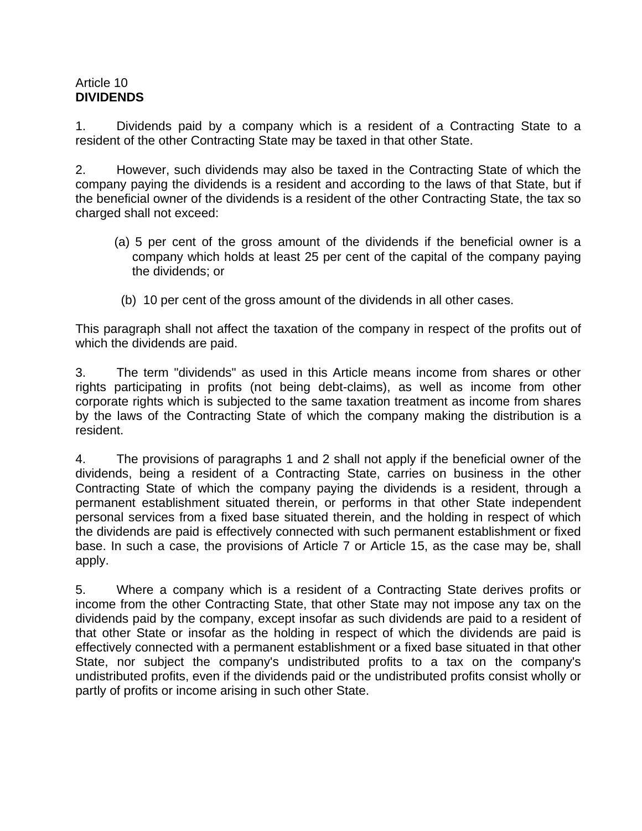#### Article 10 **DIVIDENDS**

1. Dividends paid by a company which is a resident of a Contracting State to a resident of the other Contracting State may be taxed in that other State.

2. However, such dividends may also be taxed in the Contracting State of which the company paying the dividends is a resident and according to the laws of that State, but if the beneficial owner of the dividends is a resident of the other Contracting State, the tax so charged shall not exceed:

- (a) 5 per cent of the gross amount of the dividends if the beneficial owner is a company which holds at least 25 per cent of the capital of the company paying the dividends; or
	- (b) 10 per cent of the gross amount of the dividends in all other cases.

This paragraph shall not affect the taxation of the company in respect of the profits out of which the dividends are paid.

3. The term "dividends" as used in this Article means income from shares or other rights participating in profits (not being debt-claims), as well as income from other corporate rights which is subjected to the same taxation treatment as income from shares by the laws of the Contracting State of which the company making the distribution is a resident.

4. The provisions of paragraphs 1 and 2 shall not apply if the beneficial owner of the dividends, being a resident of a Contracting State, carries on business in the other Contracting State of which the company paying the dividends is a resident, through a permanent establishment situated therein, or performs in that other State independent personal services from a fixed base situated therein, and the holding in respect of which the dividends are paid is effectively connected with such permanent establishment or fixed base. In such a case, the provisions of Article 7 or Article 15, as the case may be, shall apply.

5. Where a company which is a resident of a Contracting State derives profits or income from the other Contracting State, that other State may not impose any tax on the dividends paid by the company, except insofar as such dividends are paid to a resident of that other State or insofar as the holding in respect of which the dividends are paid is effectively connected with a permanent establishment or a fixed base situated in that other State, nor subject the company's undistributed profits to a tax on the company's undistributed profits, even if the dividends paid or the undistributed profits consist wholly or partly of profits or income arising in such other State.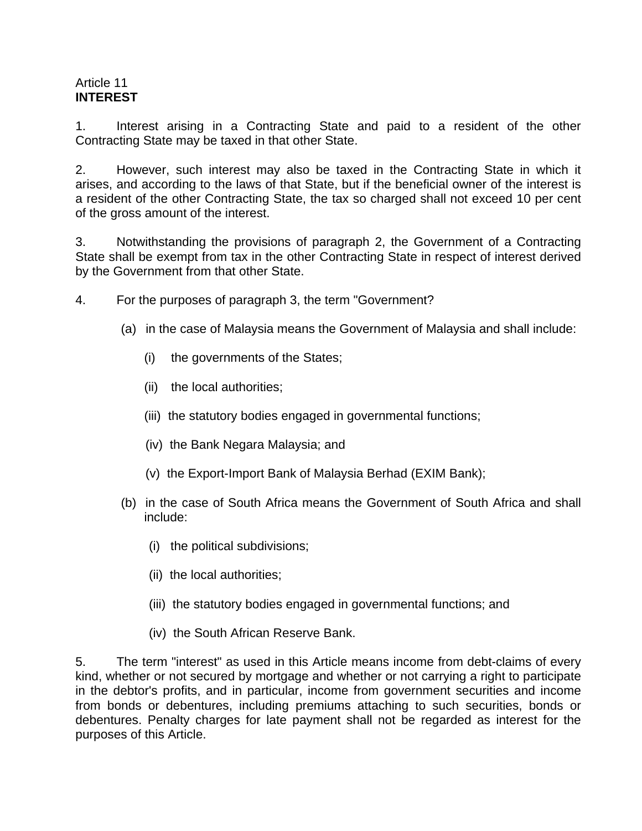#### Article 11 **INTEREST**

1. Interest arising in a Contracting State and paid to a resident of the other Contracting State may be taxed in that other State.

2. However, such interest may also be taxed in the Contracting State in which it arises, and according to the laws of that State, but if the beneficial owner of the interest is a resident of the other Contracting State, the tax so charged shall not exceed 10 per cent of the gross amount of the interest.

3. Notwithstanding the provisions of paragraph 2, the Government of a Contracting State shall be exempt from tax in the other Contracting State in respect of interest derived by the Government from that other State.

- 4. For the purposes of paragraph 3, the term "Government?
	- (a) in the case of Malaysia means the Government of Malaysia and shall include:
		- (i) the governments of the States;
		- (ii) the local authorities;
		- (iii) the statutory bodies engaged in governmental functions;
		- (iv) the Bank Negara Malaysia; and
		- (v) the Export-Import Bank of Malaysia Berhad (EXIM Bank);
	- (b) in the case of South Africa means the Government of South Africa and shall include:
		- (i) the political subdivisions;
		- (ii) the local authorities;
		- (iii) the statutory bodies engaged in governmental functions; and
		- (iv) the South African Reserve Bank.

5. The term "interest" as used in this Article means income from debt-claims of every kind, whether or not secured by mortgage and whether or not carrying a right to participate in the debtor's profits, and in particular, income from government securities and income from bonds or debentures, including premiums attaching to such securities, bonds or debentures. Penalty charges for late payment shall not be regarded as interest for the purposes of this Article.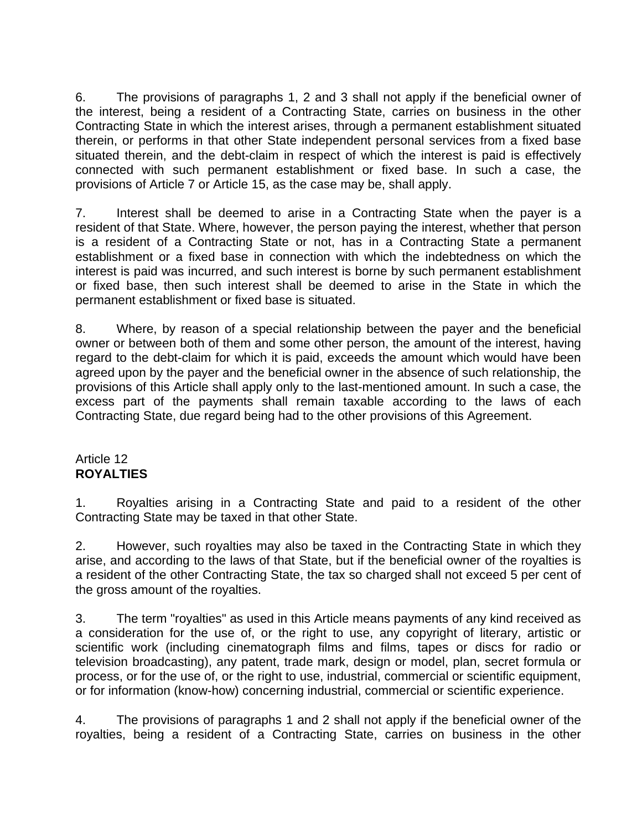6. The provisions of paragraphs 1, 2 and 3 shall not apply if the beneficial owner of the interest, being a resident of a Contracting State, carries on business in the other Contracting State in which the interest arises, through a permanent establishment situated therein, or performs in that other State independent personal services from a fixed base situated therein, and the debt-claim in respect of which the interest is paid is effectively connected with such permanent establishment or fixed base. In such a case, the provisions of Article 7 or Article 15, as the case may be, shall apply.

7. Interest shall be deemed to arise in a Contracting State when the payer is a resident of that State. Where, however, the person paying the interest, whether that person is a resident of a Contracting State or not, has in a Contracting State a permanent establishment or a fixed base in connection with which the indebtedness on which the interest is paid was incurred, and such interest is borne by such permanent establishment or fixed base, then such interest shall be deemed to arise in the State in which the permanent establishment or fixed base is situated.

8. Where, by reason of a special relationship between the payer and the beneficial owner or between both of them and some other person, the amount of the interest, having regard to the debt-claim for which it is paid, exceeds the amount which would have been agreed upon by the payer and the beneficial owner in the absence of such relationship, the provisions of this Article shall apply only to the last-mentioned amount. In such a case, the excess part of the payments shall remain taxable according to the laws of each Contracting State, due regard being had to the other provisions of this Agreement.

## Article 12 **ROYALTIES**

1. Royalties arising in a Contracting State and paid to a resident of the other Contracting State may be taxed in that other State.

2. However, such royalties may also be taxed in the Contracting State in which they arise, and according to the laws of that State, but if the beneficial owner of the royalties is a resident of the other Contracting State, the tax so charged shall not exceed 5 per cent of the gross amount of the royalties.

3. The term "royalties" as used in this Article means payments of any kind received as a consideration for the use of, or the right to use, any copyright of literary, artistic or scientific work (including cinematograph films and films, tapes or discs for radio or television broadcasting), any patent, trade mark, design or model, plan, secret formula or process, or for the use of, or the right to use, industrial, commercial or scientific equipment, or for information (know-how) concerning industrial, commercial or scientific experience.

4. The provisions of paragraphs 1 and 2 shall not apply if the beneficial owner of the royalties, being a resident of a Contracting State, carries on business in the other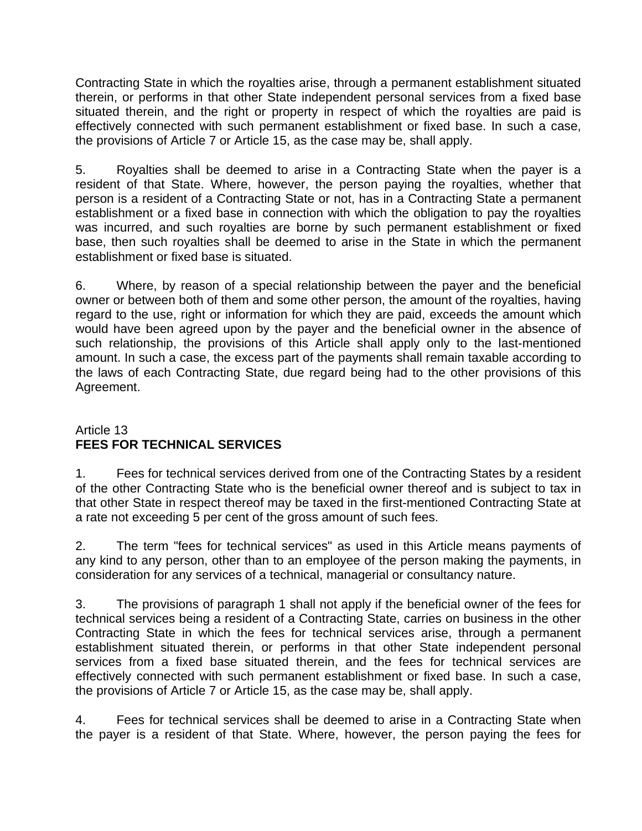Contracting State in which the royalties arise, through a permanent establishment situated therein, or performs in that other State independent personal services from a fixed base situated therein, and the right or property in respect of which the royalties are paid is effectively connected with such permanent establishment or fixed base. In such a case, the provisions of Article 7 or Article 15, as the case may be, shall apply.

5. Royalties shall be deemed to arise in a Contracting State when the payer is a resident of that State. Where, however, the person paying the royalties, whether that person is a resident of a Contracting State or not, has in a Contracting State a permanent establishment or a fixed base in connection with which the obligation to pay the royalties was incurred, and such royalties are borne by such permanent establishment or fixed base, then such royalties shall be deemed to arise in the State in which the permanent establishment or fixed base is situated.

6. Where, by reason of a special relationship between the payer and the beneficial owner or between both of them and some other person, the amount of the royalties, having regard to the use, right or information for which they are paid, exceeds the amount which would have been agreed upon by the payer and the beneficial owner in the absence of such relationship, the provisions of this Article shall apply only to the last-mentioned amount. In such a case, the excess part of the payments shall remain taxable according to the laws of each Contracting State, due regard being had to the other provisions of this Agreement.

# Article 13 **FEES FOR TECHNICAL SERVICES**

1. Fees for technical services derived from one of the Contracting States by a resident of the other Contracting State who is the beneficial owner thereof and is subject to tax in that other State in respect thereof may be taxed in the first-mentioned Contracting State at a rate not exceeding 5 per cent of the gross amount of such fees.

2. The term "fees for technical services" as used in this Article means payments of any kind to any person, other than to an employee of the person making the payments, in consideration for any services of a technical, managerial or consultancy nature.

3. The provisions of paragraph 1 shall not apply if the beneficial owner of the fees for technical services being a resident of a Contracting State, carries on business in the other Contracting State in which the fees for technical services arise, through a permanent establishment situated therein, or performs in that other State independent personal services from a fixed base situated therein, and the fees for technical services are effectively connected with such permanent establishment or fixed base. In such a case, the provisions of Article 7 or Article 15, as the case may be, shall apply.

4. Fees for technical services shall be deemed to arise in a Contracting State when the payer is a resident of that State. Where, however, the person paying the fees for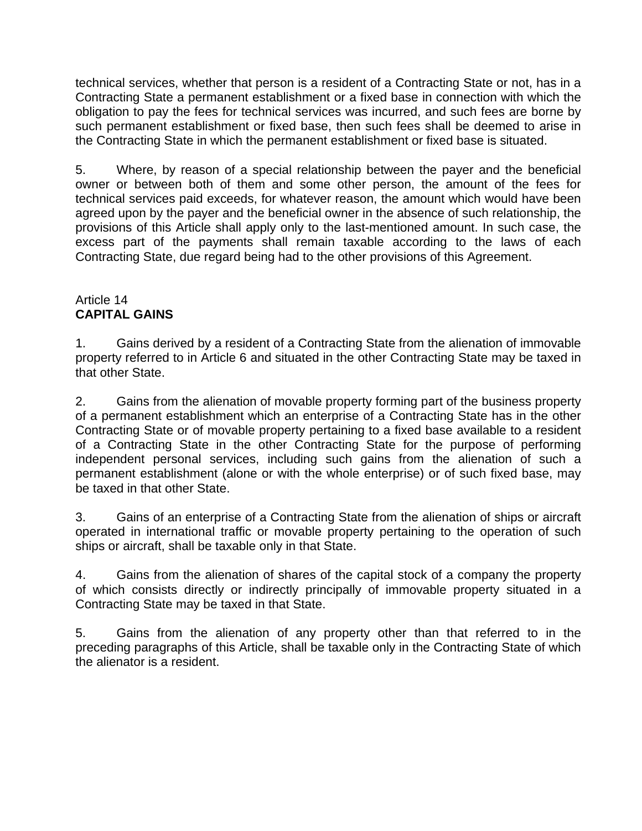technical services, whether that person is a resident of a Contracting State or not, has in a Contracting State a permanent establishment or a fixed base in connection with which the obligation to pay the fees for technical services was incurred, and such fees are borne by such permanent establishment or fixed base, then such fees shall be deemed to arise in the Contracting State in which the permanent establishment or fixed base is situated.

5. Where, by reason of a special relationship between the payer and the beneficial owner or between both of them and some other person, the amount of the fees for technical services paid exceeds, for whatever reason, the amount which would have been agreed upon by the payer and the beneficial owner in the absence of such relationship, the provisions of this Article shall apply only to the last-mentioned amount. In such case, the excess part of the payments shall remain taxable according to the laws of each Contracting State, due regard being had to the other provisions of this Agreement.

# Article 14 **CAPITAL GAINS**

1. Gains derived by a resident of a Contracting State from the alienation of immovable property referred to in Article 6 and situated in the other Contracting State may be taxed in that other State.

2. Gains from the alienation of movable property forming part of the business property of a permanent establishment which an enterprise of a Contracting State has in the other Contracting State or of movable property pertaining to a fixed base available to a resident of a Contracting State in the other Contracting State for the purpose of performing independent personal services, including such gains from the alienation of such a permanent establishment (alone or with the whole enterprise) or of such fixed base, may be taxed in that other State.

3. Gains of an enterprise of a Contracting State from the alienation of ships or aircraft operated in international traffic or movable property pertaining to the operation of such ships or aircraft, shall be taxable only in that State.

4. Gains from the alienation of shares of the capital stock of a company the property of which consists directly or indirectly principally of immovable property situated in a Contracting State may be taxed in that State.

5. Gains from the alienation of any property other than that referred to in the preceding paragraphs of this Article, shall be taxable only in the Contracting State of which the alienator is a resident.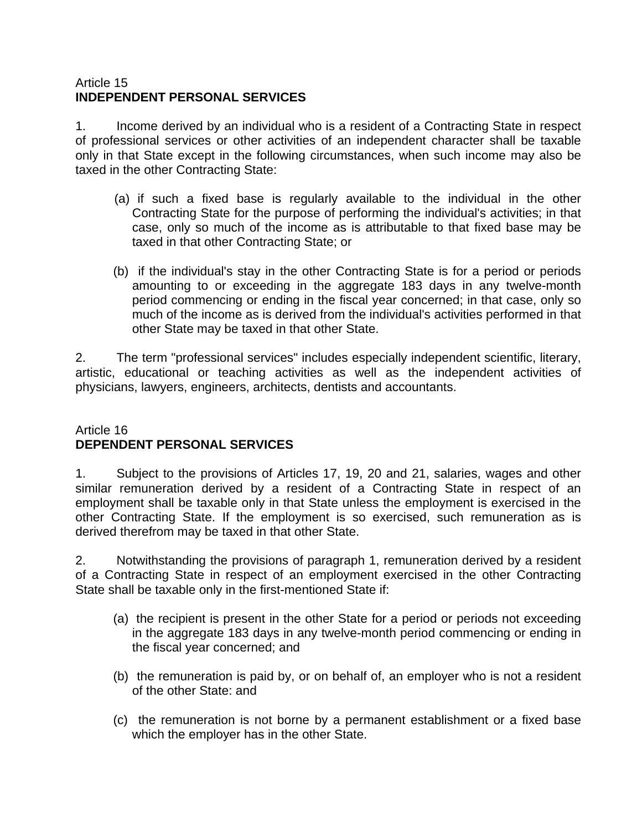## Article 15 **INDEPENDENT PERSONAL SERVICES**

1. Income derived by an individual who is a resident of a Contracting State in respect of professional services or other activities of an independent character shall be taxable only in that State except in the following circumstances, when such income may also be taxed in the other Contracting State:

- (a) if such a fixed base is regularly available to the individual in the other Contracting State for the purpose of performing the individual's activities; in that case, only so much of the income as is attributable to that fixed base may be taxed in that other Contracting State; or
- (b) if the individual's stay in the other Contracting State is for a period or periods amounting to or exceeding in the aggregate 183 days in any twelve-month period commencing or ending in the fiscal year concerned; in that case, only so much of the income as is derived from the individual's activities performed in that other State may be taxed in that other State.

2. The term "professional services" includes especially independent scientific, literary, artistic, educational or teaching activities as well as the independent activities of physicians, lawyers, engineers, architects, dentists and accountants.

## Article 16 **DEPENDENT PERSONAL SERVICES**

1. Subject to the provisions of Articles 17, 19, 20 and 21, salaries, wages and other similar remuneration derived by a resident of a Contracting State in respect of an employment shall be taxable only in that State unless the employment is exercised in the other Contracting State. If the employment is so exercised, such remuneration as is derived therefrom may be taxed in that other State.

2. Notwithstanding the provisions of paragraph 1, remuneration derived by a resident of a Contracting State in respect of an employment exercised in the other Contracting State shall be taxable only in the first-mentioned State if:

- (a) the recipient is present in the other State for a period or periods not exceeding in the aggregate 183 days in any twelve-month period commencing or ending in the fiscal year concerned; and
- (b) the remuneration is paid by, or on behalf of, an employer who is not a resident of the other State: and
- (c) the remuneration is not borne by a permanent establishment or a fixed base which the employer has in the other State.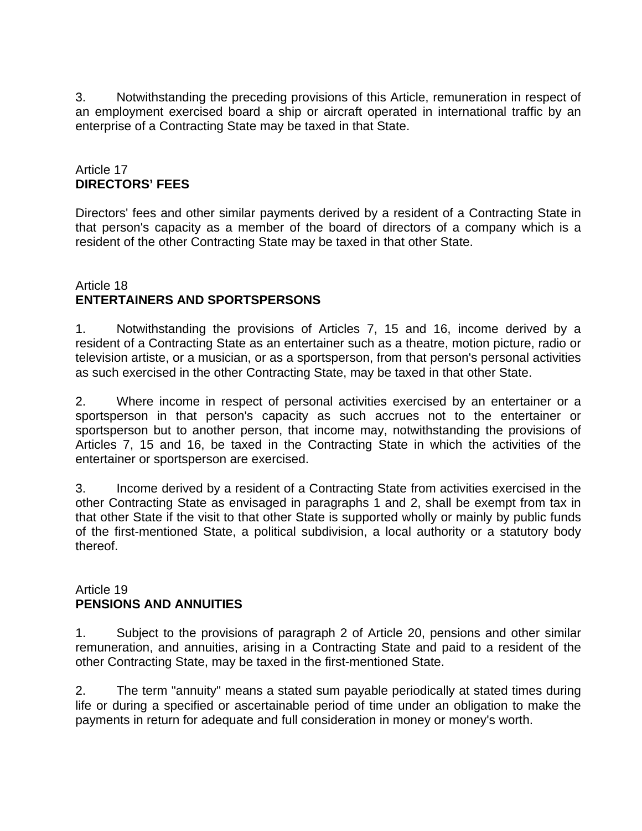3. Notwithstanding the preceding provisions of this Article, remuneration in respect of an employment exercised board a ship or aircraft operated in international traffic by an enterprise of a Contracting State may be taxed in that State.

# Article 17 **DIRECTORS' FEES**

Directors' fees and other similar payments derived by a resident of a Contracting State in that person's capacity as a member of the board of directors of a company which is a resident of the other Contracting State may be taxed in that other State.

# Article 18 **ENTERTAINERS AND SPORTSPERSONS**

1. Notwithstanding the provisions of Articles 7, 15 and 16, income derived by a resident of a Contracting State as an entertainer such as a theatre, motion picture, radio or television artiste, or a musician, or as a sportsperson, from that person's personal activities as such exercised in the other Contracting State, may be taxed in that other State.

2. Where income in respect of personal activities exercised by an entertainer or a sportsperson in that person's capacity as such accrues not to the entertainer or sportsperson but to another person, that income may, notwithstanding the provisions of Articles 7, 15 and 16, be taxed in the Contracting State in which the activities of the entertainer or sportsperson are exercised.

3. Income derived by a resident of a Contracting State from activities exercised in the other Contracting State as envisaged in paragraphs 1 and 2, shall be exempt from tax in that other State if the visit to that other State is supported wholly or mainly by public funds of the first-mentioned State, a political subdivision, a local authority or a statutory body thereof.

#### Article 19 **PENSIONS AND ANNUITIES**

1. Subject to the provisions of paragraph 2 of Article 20, pensions and other similar remuneration, and annuities, arising in a Contracting State and paid to a resident of the other Contracting State, may be taxed in the first-mentioned State.

2. The term "annuity" means a stated sum payable periodically at stated times during life or during a specified or ascertainable period of time under an obligation to make the payments in return for adequate and full consideration in money or money's worth.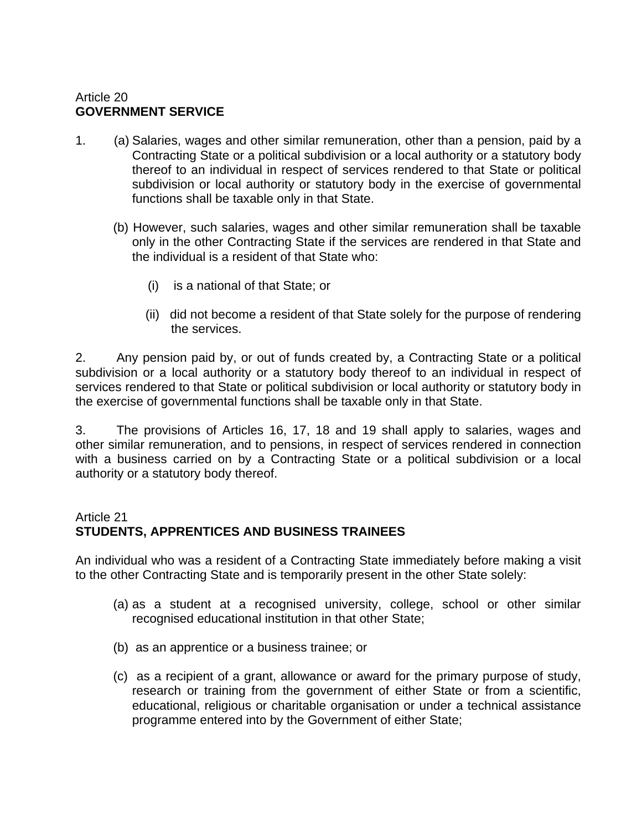# Article 20 **GOVERNMENT SERVICE**

- 1. (a) Salaries, wages and other similar remuneration, other than a pension, paid by a Contracting State or a political subdivision or a local authority or a statutory body thereof to an individual in respect of services rendered to that State or political subdivision or local authority or statutory body in the exercise of governmental functions shall be taxable only in that State.
	- (b) However, such salaries, wages and other similar remuneration shall be taxable only in the other Contracting State if the services are rendered in that State and the individual is a resident of that State who:
		- (i) is a national of that State; or
		- (ii) did not become a resident of that State solely for the purpose of rendering the services.

2. Any pension paid by, or out of funds created by, a Contracting State or a political subdivision or a local authority or a statutory body thereof to an individual in respect of services rendered to that State or political subdivision or local authority or statutory body in the exercise of governmental functions shall be taxable only in that State.

3. The provisions of Articles 16, 17, 18 and 19 shall apply to salaries, wages and other similar remuneration, and to pensions, in respect of services rendered in connection with a business carried on by a Contracting State or a political subdivision or a local authority or a statutory body thereof.

# Article 21 **STUDENTS, APPRENTICES AND BUSINESS TRAINEES**

An individual who was a resident of a Contracting State immediately before making a visit to the other Contracting State and is temporarily present in the other State solely:

- (a) as a student at a recognised university, college, school or other similar recognised educational institution in that other State;
- (b) as an apprentice or a business trainee; or
- (c) as a recipient of a grant, allowance or award for the primary purpose of study, research or training from the government of either State or from a scientific, educational, religious or charitable organisation or under a technical assistance programme entered into by the Government of either State;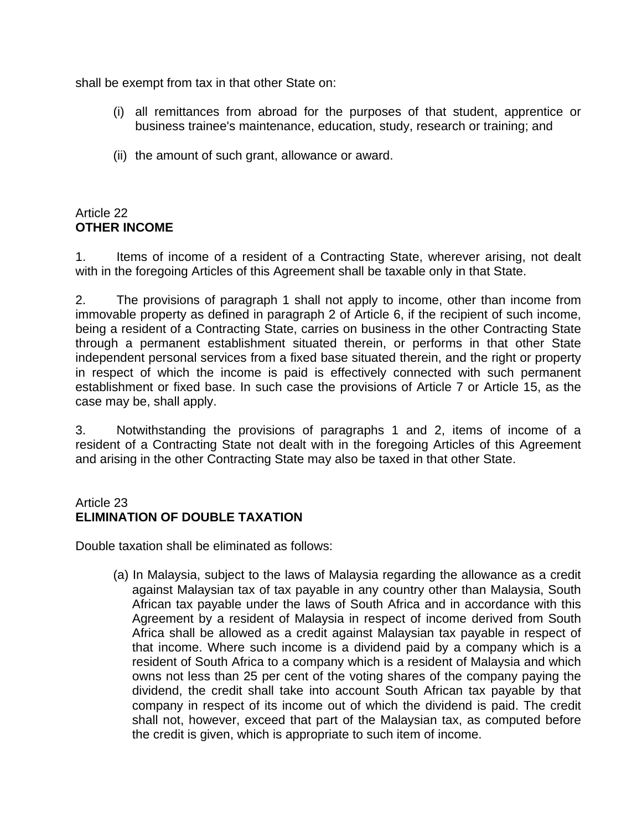shall be exempt from tax in that other State on:

- (i) all remittances from abroad for the purposes of that student, apprentice or business trainee's maintenance, education, study, research or training; and
- (ii) the amount of such grant, allowance or award.

## Article 22 **OTHER INCOME**

1. Items of income of a resident of a Contracting State, wherever arising, not dealt with in the foregoing Articles of this Agreement shall be taxable only in that State.

2. The provisions of paragraph 1 shall not apply to income, other than income from immovable property as defined in paragraph 2 of Article 6, if the recipient of such income, being a resident of a Contracting State, carries on business in the other Contracting State through a permanent establishment situated therein, or performs in that other State independent personal services from a fixed base situated therein, and the right or property in respect of which the income is paid is effectively connected with such permanent establishment or fixed base. In such case the provisions of Article 7 or Article 15, as the case may be, shall apply.

3. Notwithstanding the provisions of paragraphs 1 and 2, items of income of a resident of a Contracting State not dealt with in the foregoing Articles of this Agreement and arising in the other Contracting State may also be taxed in that other State.

# Article 23 **ELIMINATION OF DOUBLE TAXATION**

Double taxation shall be eliminated as follows:

(a) In Malaysia, subject to the laws of Malaysia regarding the allowance as a credit against Malaysian tax of tax payable in any country other than Malaysia, South African tax payable under the laws of South Africa and in accordance with this Agreement by a resident of Malaysia in respect of income derived from South Africa shall be allowed as a credit against Malaysian tax payable in respect of that income. Where such income is a dividend paid by a company which is a resident of South Africa to a company which is a resident of Malaysia and which owns not less than 25 per cent of the voting shares of the company paying the dividend, the credit shall take into account South African tax payable by that company in respect of its income out of which the dividend is paid. The credit shall not, however, exceed that part of the Malaysian tax, as computed before the credit is given, which is appropriate to such item of income.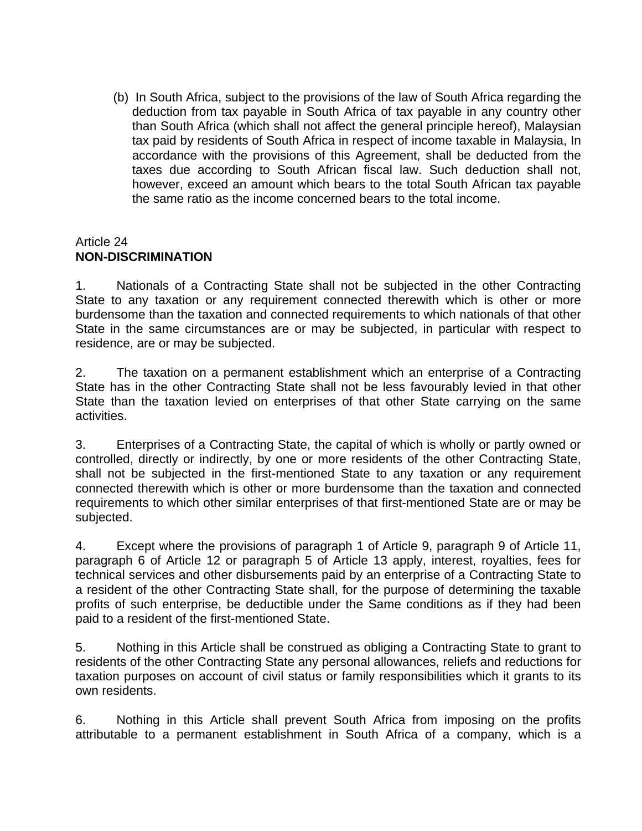(b) In South Africa, subject to the provisions of the law of South Africa regarding the deduction from tax payable in South Africa of tax payable in any country other than South Africa (which shall not affect the general principle hereof), Malaysian tax paid by residents of South Africa in respect of income taxable in Malaysia, In accordance with the provisions of this Agreement, shall be deducted from the taxes due according to South African fiscal law. Such deduction shall not, however, exceed an amount which bears to the total South African tax payable the same ratio as the income concerned bears to the total income.

# Article 24 **NON-DISCRIMINATION**

1. Nationals of a Contracting State shall not be subjected in the other Contracting State to any taxation or any requirement connected therewith which is other or more burdensome than the taxation and connected requirements to which nationals of that other State in the same circumstances are or may be subjected, in particular with respect to residence, are or may be subjected.

2. The taxation on a permanent establishment which an enterprise of a Contracting State has in the other Contracting State shall not be less favourably levied in that other State than the taxation levied on enterprises of that other State carrying on the same activities.

3. Enterprises of a Contracting State, the capital of which is wholly or partly owned or controlled, directly or indirectly, by one or more residents of the other Contracting State, shall not be subjected in the first-mentioned State to any taxation or any requirement connected therewith which is other or more burdensome than the taxation and connected requirements to which other similar enterprises of that first-mentioned State are or may be subjected.

4. Except where the provisions of paragraph 1 of Article 9, paragraph 9 of Article 11, paragraph 6 of Article 12 or paragraph 5 of Article 13 apply, interest, royalties, fees for technical services and other disbursements paid by an enterprise of a Contracting State to a resident of the other Contracting State shall, for the purpose of determining the taxable profits of such enterprise, be deductible under the Same conditions as if they had been paid to a resident of the first-mentioned State.

5. Nothing in this Article shall be construed as obliging a Contracting State to grant to residents of the other Contracting State any personal allowances, reliefs and reductions for taxation purposes on account of civil status or family responsibilities which it grants to its own residents.

6. Nothing in this Article shall prevent South Africa from imposing on the profits attributable to a permanent establishment in South Africa of a company, which is a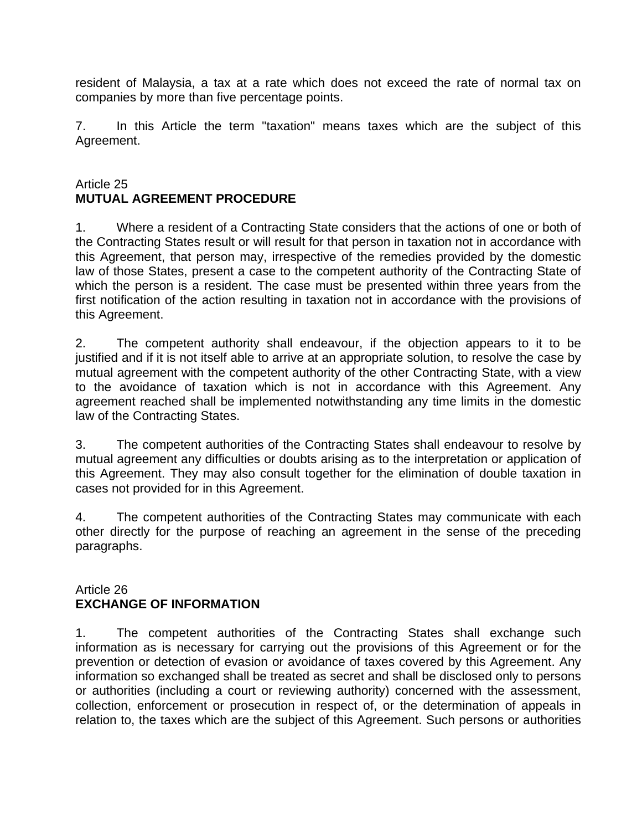resident of Malaysia, a tax at a rate which does not exceed the rate of normal tax on companies by more than five percentage points.

7. In this Article the term "taxation" means taxes which are the subject of this Agreement.

# Article 25 **MUTUAL AGREEMENT PROCEDURE**

1. Where a resident of a Contracting State considers that the actions of one or both of the Contracting States result or will result for that person in taxation not in accordance with this Agreement, that person may, irrespective of the remedies provided by the domestic law of those States, present a case to the competent authority of the Contracting State of which the person is a resident. The case must be presented within three years from the first notification of the action resulting in taxation not in accordance with the provisions of this Agreement.

2. The competent authority shall endeavour, if the objection appears to it to be justified and if it is not itself able to arrive at an appropriate solution, to resolve the case by mutual agreement with the competent authority of the other Contracting State, with a view to the avoidance of taxation which is not in accordance with this Agreement. Any agreement reached shall be implemented notwithstanding any time limits in the domestic law of the Contracting States.

3. The competent authorities of the Contracting States shall endeavour to resolve by mutual agreement any difficulties or doubts arising as to the interpretation or application of this Agreement. They may also consult together for the elimination of double taxation in cases not provided for in this Agreement.

4. The competent authorities of the Contracting States may communicate with each other directly for the purpose of reaching an agreement in the sense of the preceding paragraphs.

#### Article 26 **EXCHANGE OF INFORMATION**

1. The competent authorities of the Contracting States shall exchange such information as is necessary for carrying out the provisions of this Agreement or for the prevention or detection of evasion or avoidance of taxes covered by this Agreement. Any information so exchanged shall be treated as secret and shall be disclosed only to persons or authorities (including a court or reviewing authority) concerned with the assessment, collection, enforcement or prosecution in respect of, or the determination of appeals in relation to, the taxes which are the subject of this Agreement. Such persons or authorities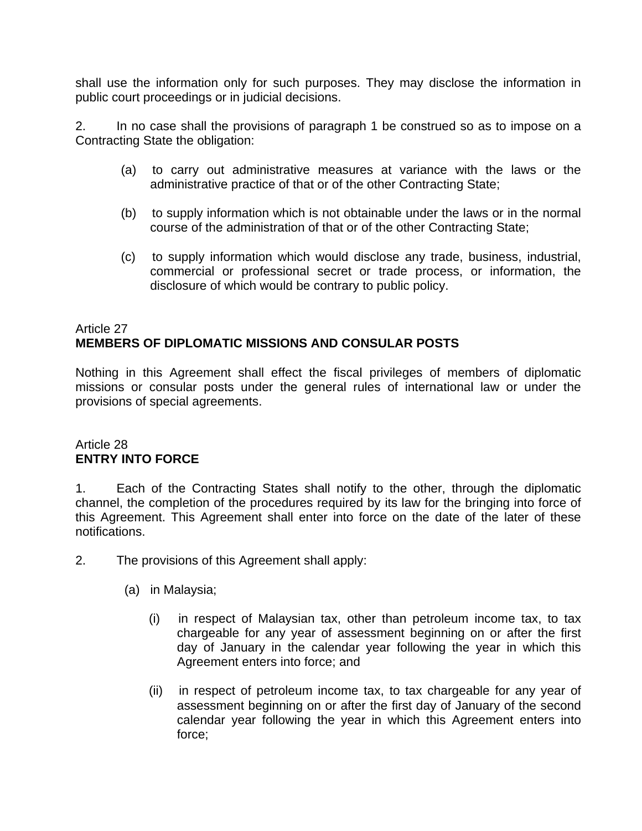shall use the information only for such purposes. They may disclose the information in public court proceedings or in judicial decisions.

2. In no case shall the provisions of paragraph 1 be construed so as to impose on a Contracting State the obligation:

- (a) to carry out administrative measures at variance with the laws or the administrative practice of that or of the other Contracting State;
- (b) to supply information which is not obtainable under the laws or in the normal course of the administration of that or of the other Contracting State;
- (c) to supply information which would disclose any trade, business, industrial, commercial or professional secret or trade process, or information, the disclosure of which would be contrary to public policy.

# Article 27 **MEMBERS OF DIPLOMATIC MISSIONS AND CONSULAR POSTS**

Nothing in this Agreement shall effect the fiscal privileges of members of diplomatic missions or consular posts under the general rules of international law or under the provisions of special agreements.

#### Article 28 **ENTRY INTO FORCE**

1. Each of the Contracting States shall notify to the other, through the diplomatic channel, the completion of the procedures required by its law for the bringing into force of this Agreement. This Agreement shall enter into force on the date of the later of these notifications.

- 2. The provisions of this Agreement shall apply:
	- (a) in Malaysia;
		- (i) in respect of Malaysian tax, other than petroleum income tax, to tax chargeable for any year of assessment beginning on or after the first day of January in the calendar year following the year in which this Agreement enters into force; and
		- (ii) in respect of petroleum income tax, to tax chargeable for any year of assessment beginning on or after the first day of January of the second calendar year following the year in which this Agreement enters into force;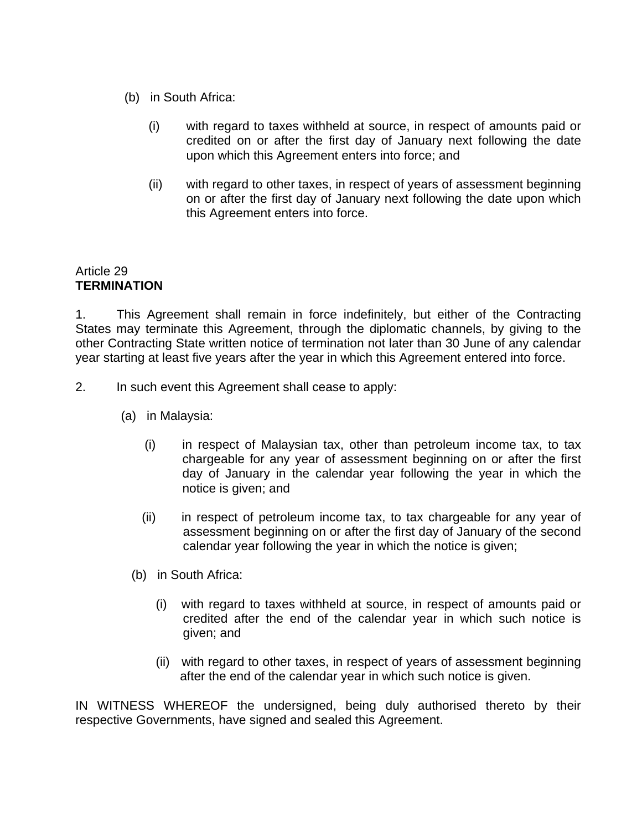- (b) in South Africa:
	- (i) with regard to taxes withheld at source, in respect of amounts paid or credited on or after the first day of January next following the date upon which this Agreement enters into force; and
	- (ii) with regard to other taxes, in respect of years of assessment beginning on or after the first day of January next following the date upon which this Agreement enters into force.

#### Article 29 **TERMINATION**

1. This Agreement shall remain in force indefinitely, but either of the Contracting States may terminate this Agreement, through the diplomatic channels, by giving to the other Contracting State written notice of termination not later than 30 June of any calendar year starting at least five years after the year in which this Agreement entered into force.

- 2. In such event this Agreement shall cease to apply:
	- (a) in Malaysia:
		- (i) in respect of Malaysian tax, other than petroleum income tax, to tax chargeable for any year of assessment beginning on or after the first day of January in the calendar year following the year in which the notice is given; and
		- (ii) in respect of petroleum income tax, to tax chargeable for any year of assessment beginning on or after the first day of January of the second calendar year following the year in which the notice is given;
		- (b) in South Africa:
			- (i) with regard to taxes withheld at source, in respect of amounts paid or credited after the end of the calendar year in which such notice is given; and
			- (ii) with regard to other taxes, in respect of years of assessment beginning after the end of the calendar year in which such notice is given.

IN WITNESS WHEREOF the undersigned, being duly authorised thereto by their respective Governments, have signed and sealed this Agreement.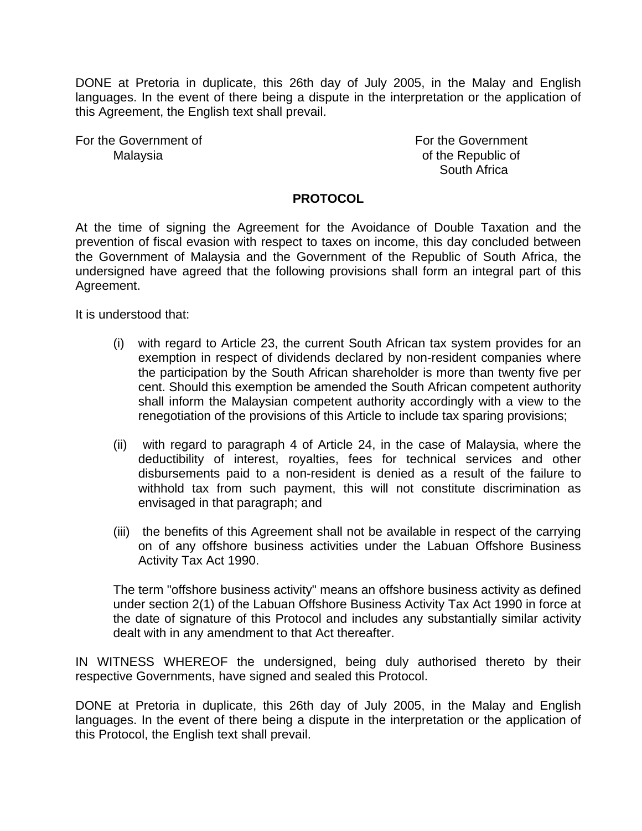DONE at Pretoria in duplicate, this 26th day of July 2005, in the Malay and English languages. In the event of there being a dispute in the interpretation or the application of this Agreement, the English text shall prevail.

For the Government of **Formula** For the Government

Malaysia **Malaysia** of the Republic of South Africa

#### **PROTOCOL**

At the time of signing the Agreement for the Avoidance of Double Taxation and the prevention of fiscal evasion with respect to taxes on income, this day concluded between the Government of Malaysia and the Government of the Republic of South Africa, the undersigned have agreed that the following provisions shall form an integral part of this Agreement.

It is understood that:

- (i) with regard to Article 23, the current South African tax system provides for an exemption in respect of dividends declared by non-resident companies where the participation by the South African shareholder is more than twenty five per cent. Should this exemption be amended the South African competent authority shall inform the Malaysian competent authority accordingly with a view to the renegotiation of the provisions of this Article to include tax sparing provisions;
- (ii) with regard to paragraph 4 of Article 24, in the case of Malaysia, where the deductibility of interest, royalties, fees for technical services and other disbursements paid to a non-resident is denied as a result of the failure to withhold tax from such payment, this will not constitute discrimination as envisaged in that paragraph; and
- (iii) the benefits of this Agreement shall not be available in respect of the carrying on of any offshore business activities under the Labuan Offshore Business Activity Tax Act 1990.

The term "offshore business activity" means an offshore business activity as defined under section 2(1) of the Labuan Offshore Business Activity Tax Act 1990 in force at the date of signature of this Protocol and includes any substantially similar activity dealt with in any amendment to that Act thereafter.

IN WITNESS WHEREOF the undersigned, being duly authorised thereto by their respective Governments, have signed and sealed this Protocol.

DONE at Pretoria in duplicate, this 26th day of July 2005, in the Malay and English languages. In the event of there being a dispute in the interpretation or the application of this Protocol, the English text shall prevail.